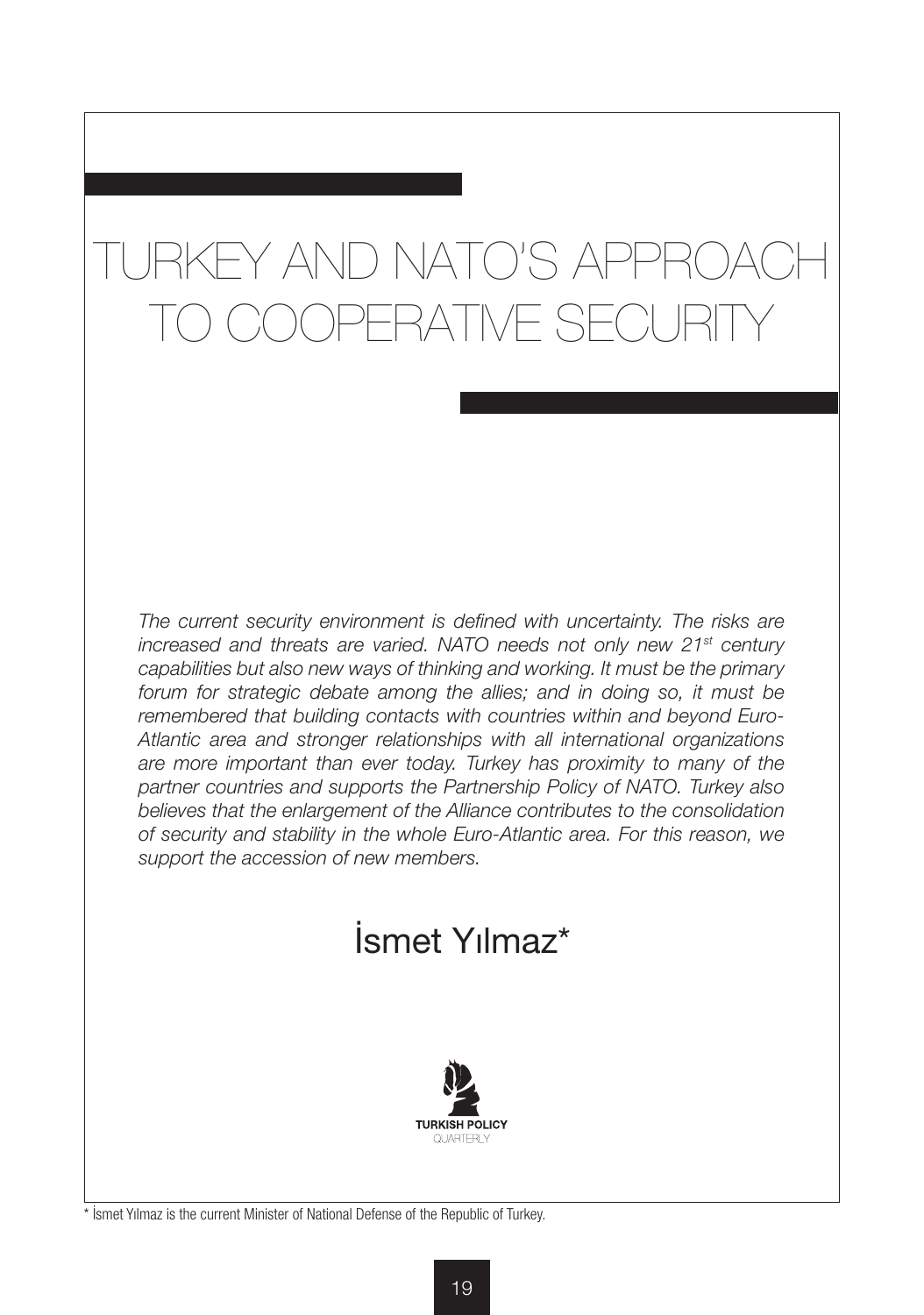## TURKEY AND NATO'S APPROACH )OPERATIVE SECURIT

The current security environment is defined with uncertainty. The risks are *increased and threats are varied. NATO needs not only new 21st century capabilities but also new ways of thinking and working. It must be the primary*  forum for strategic debate among the allies; and in doing so, it must be *remembered that building contacts with countries within and beyond Euro-Atlantic area and stronger relationships with all international organizations are more important than ever today. Turkey has proximity to many of the partner countries and supports the Partnership Policy of NATO. Turkey also believes that the enlargement of the Alliance contributes to the consolidation of security and stability in the whole Euro-Atlantic area. For this reason, we support the accession of new members.*

## İsmet Yılmaz\*



\* İsmet Yılmaz is the current Minister of National Defense of the Republic of Turkey.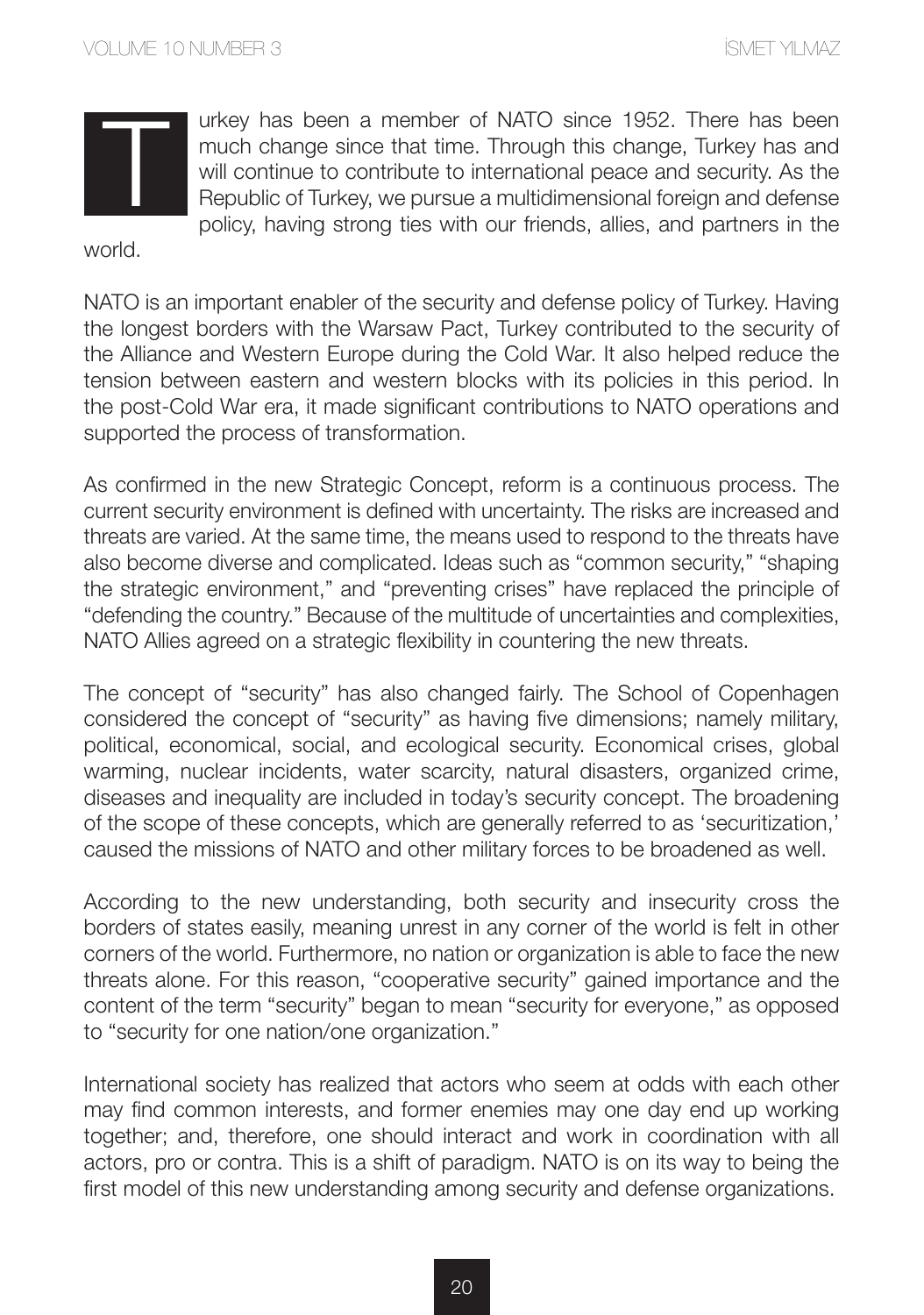urkey has been a member of NATO since 1952. There has been much change since that time. Through this change, Turkey has and will continue to contribute to international peace and security. As the Republic of Turkey, we pursue a multidimensional foreign and defense policy, having strong ties with our friends, allies, and partners in the

world.

NATO is an important enabler of the security and defense policy of Turkey. Having the longest borders with the Warsaw Pact, Turkey contributed to the security of the Alliance and Western Europe during the Cold War. It also helped reduce the tension between eastern and western blocks with its policies in this period. In the post-Cold War era, it made significant contributions to NATO operations and supported the process of transformation.

As confirmed in the new Strategic Concept, reform is a continuous process. The current security environment is defined with uncertainty. The risks are increased and threats are varied. At the same time, the means used to respond to the threats have also become diverse and complicated. Ideas such as "common security," "shaping the strategic environment," and "preventing crises" have replaced the principle of "defending the country." Because of the multitude of uncertainties and complexities, NATO Allies agreed on a strategic flexibility in countering the new threats.

The concept of "security" has also changed fairly. The School of Copenhagen considered the concept of "security" as having five dimensions; namely military, political, economical, social, and ecological security. Economical crises, global warming, nuclear incidents, water scarcity, natural disasters, organized crime, diseases and inequality are included in today's security concept. The broadening of the scope of these concepts, which are generally referred to as 'securitization,' caused the missions of NATO and other military forces to be broadened as well.

According to the new understanding, both security and insecurity cross the borders of states easily, meaning unrest in any corner of the world is felt in other corners of the world. Furthermore, no nation or organization is able to face the new threats alone. For this reason, "cooperative security" gained importance and the content of the term "security" began to mean "security for everyone," as opposed to "security for one nation/one organization."

International society has realized that actors who seem at odds with each other may find common interests, and former enemies may one day end up working together; and, therefore, one should interact and work in coordination with all actors, pro or contra. This is a shift of paradigm. NATO is on its way to being the first model of this new understanding among security and defense organizations.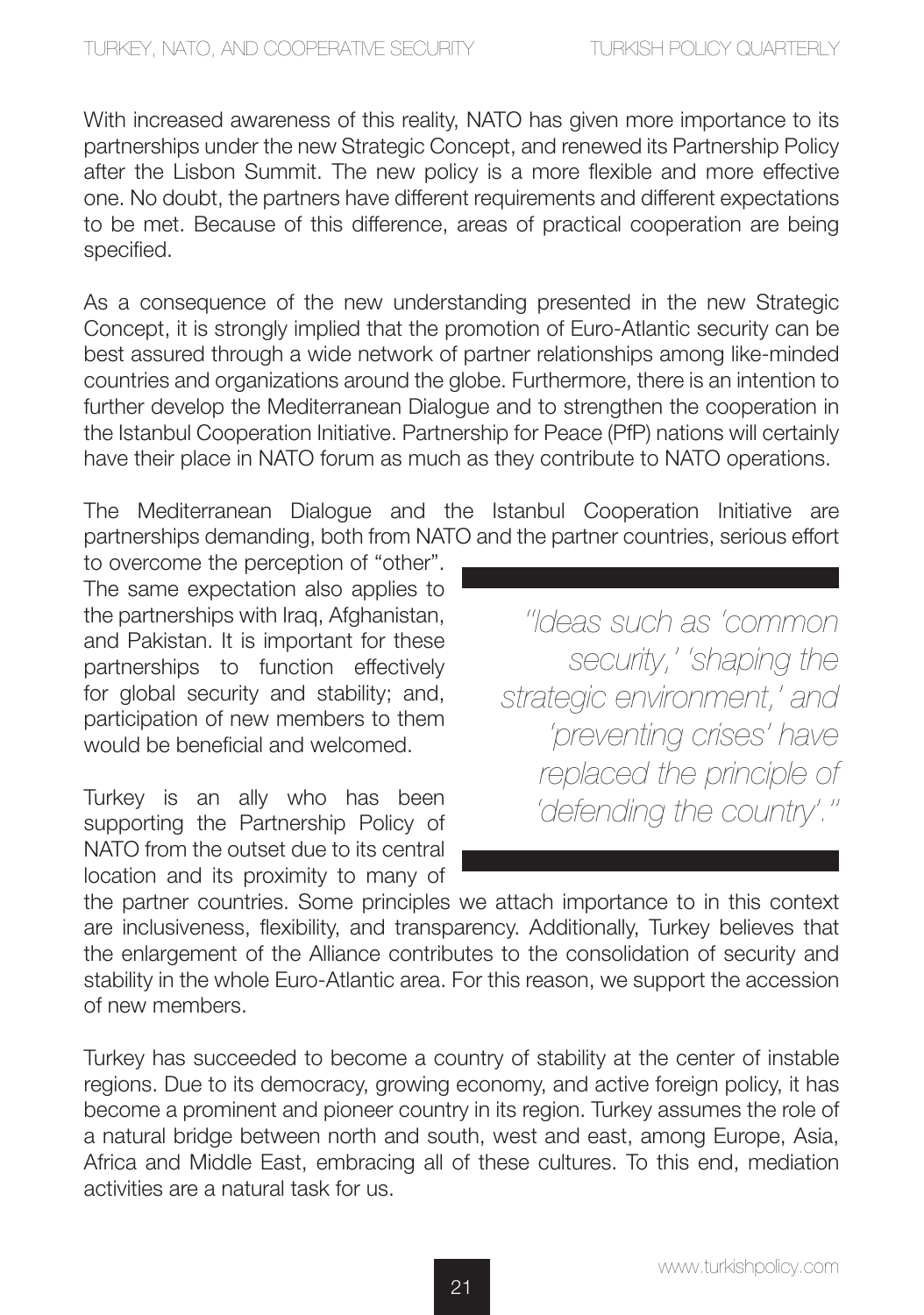With increased awareness of this reality, NATO has given more importance to its partnerships under the new Strategic Concept, and renewed its Partnership Policy after the Lisbon Summit. The new policy is a more flexible and more effective one. No doubt, the partners have different requirements and different expectations to be met. Because of this difference, areas of practical cooperation are being specified.

As a consequence of the new understanding presented in the new Strategic Concept, it is strongly implied that the promotion of Euro-Atlantic security can be best assured through a wide network of partner relationships among like-minded countries and organizations around the globe. Furthermore, there is an intention to further develop the Mediterranean Dialogue and to strengthen the cooperation in the Istanbul Cooperation Initiative. Partnership for Peace (PfP) nations will certainly have their place in NATO forum as much as they contribute to NATO operations.

The Mediterranean Dialogue and the Istanbul Cooperation Initiative are partnerships demanding, both from NATO and the partner countries, serious effort

to overcome the perception of "other". The same expectation also applies to the partnerships with Iraq, Afghanistan, and Pakistan. It is important for these partnerships to function effectively for global security and stability; and, participation of new members to them would be beneficial and welcomed.

Turkey is an ally who has been supporting the Partnership Policy of NATO from the outset due to its central location and its proximity to many of

*''Ideas such as 'common security,' 'shaping the strategic environment,' and 'preventing crises' have replaced the principle of 'defending the country'.''*

the partner countries. Some principles we attach importance to in this context are inclusiveness, flexibility, and transparency. Additionally, Turkey believes that the enlargement of the Alliance contributes to the consolidation of security and stability in the whole Euro-Atlantic area. For this reason, we support the accession of new members.

Turkey has succeeded to become a country of stability at the center of instable regions. Due to its democracy, growing economy, and active foreign policy, it has become a prominent and pioneer country in its region. Turkey assumes the role of a natural bridge between north and south, west and east, among Europe, Asia, Africa and Middle East, embracing all of these cultures. To this end, mediation activities are a natural task for us.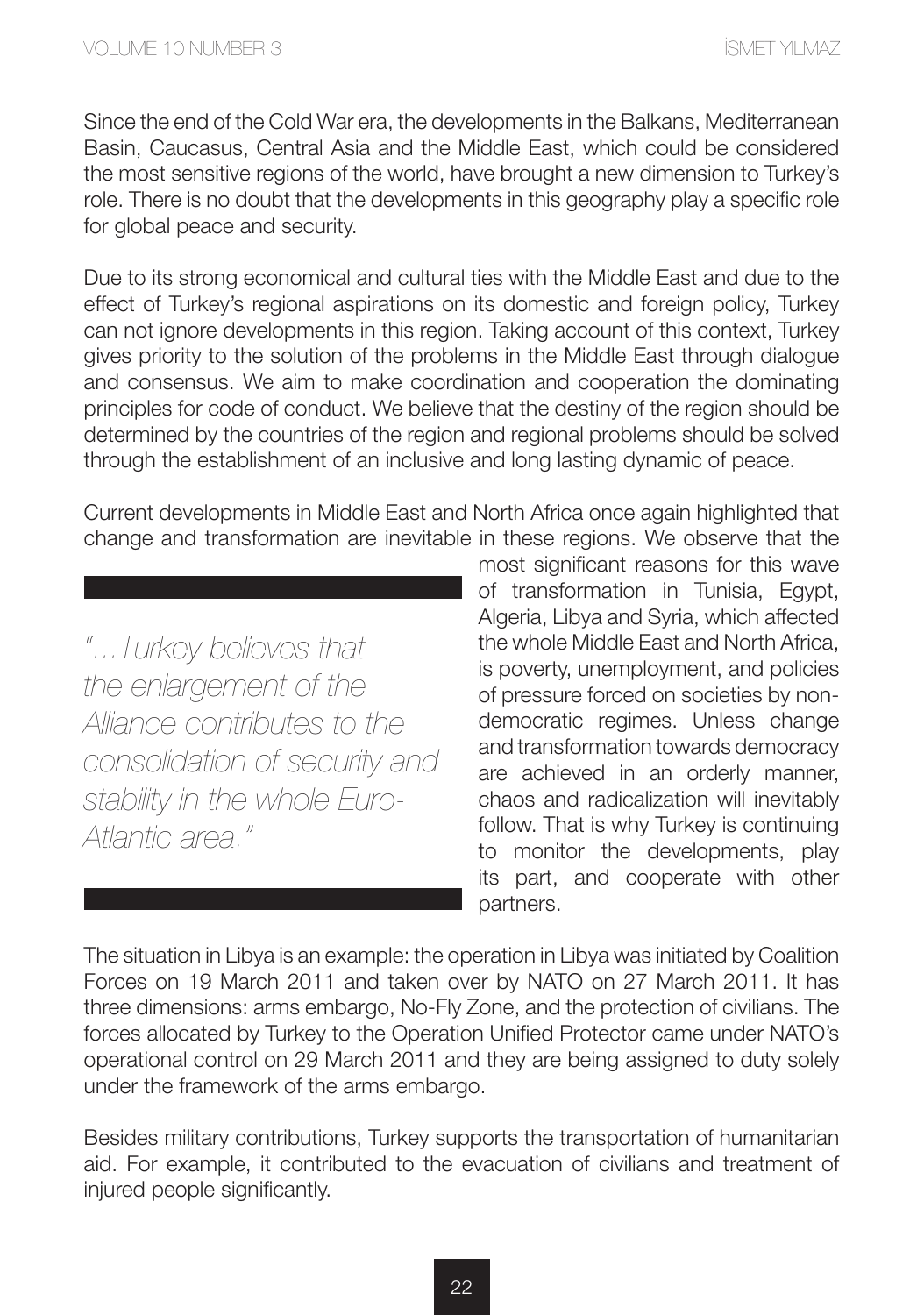Since the end of the Cold War era, the developments in the Balkans, Mediterranean Basin, Caucasus, Central Asia and the Middle East, which could be considered the most sensitive regions of the world, have brought a new dimension to Turkey's role. There is no doubt that the developments in this geography play a specific role for global peace and security.

Due to its strong economical and cultural ties with the Middle East and due to the effect of Turkey's regional aspirations on its domestic and foreign policy, Turkey can not ignore developments in this region. Taking account of this context, Turkey gives priority to the solution of the problems in the Middle East through dialogue and consensus. We aim to make coordination and cooperation the dominating principles for code of conduct. We believe that the destiny of the region should be determined by the countries of the region and regional problems should be solved through the establishment of an inclusive and long lasting dynamic of peace.

Current developments in Middle East and North Africa once again highlighted that change and transformation are inevitable in these regions. We observe that the

*"...Turkey believes that the enlargement of the Alliance contributes to the consolidation of security and stability in the whole Euro-Atlantic area."*

most significant reasons for this wave of transformation in Tunisia, Egypt, Algeria, Libya and Syria, which affected the whole Middle East and North Africa, is poverty, unemployment, and policies of pressure forced on societies by nondemocratic regimes. Unless change and transformation towards democracy are achieved in an orderly manner, chaos and radicalization will inevitably follow. That is why Turkey is continuing to monitor the developments, play its part, and cooperate with other partners.

The situation in Libya is an example: the operation in Libya was initiated by Coalition Forces on 19 March 2011 and taken over by NATO on 27 March 2011. It has three dimensions: arms embargo, No-Fly Zone, and the protection of civilians. The forces allocated by Turkey to the Operation Unified Protector came under NATO's operational control on 29 March 2011 and they are being assigned to duty solely under the framework of the arms embargo.

Besides military contributions, Turkey supports the transportation of humanitarian aid. For example, it contributed to the evacuation of civilians and treatment of injured people significantly.